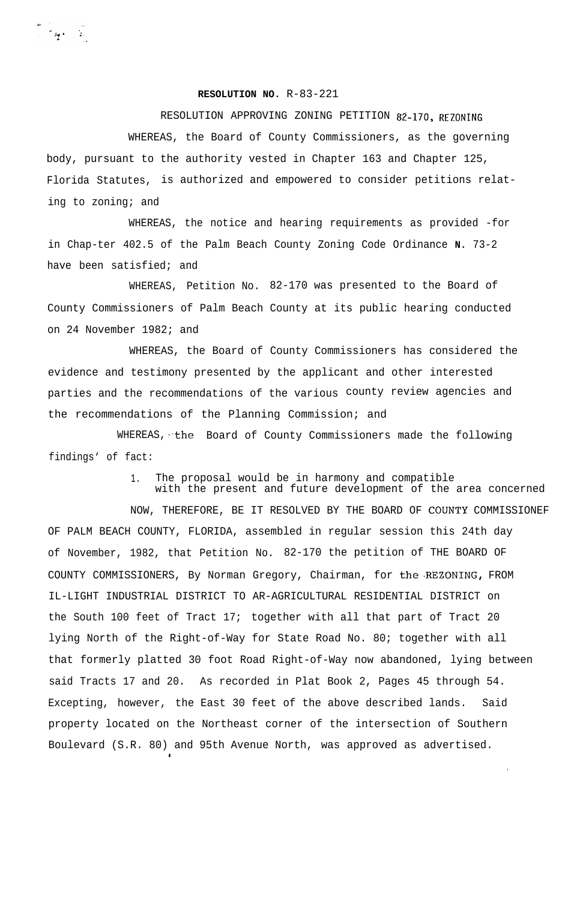**RESOLUTION NO.** R-83-221

RESOLUTION APPROVING ZONING PETITION 82-170, REZONING WHEREAS, the Board of County Commissioners, as the governing body, pursuant to the authority vested in Chapter 163 and Chapter 125, Florida Statutes, is authorized and empowered to consider petitions relating to zoning; and

WHEREAS, the notice and hearing requirements as provided -for in Chap-ter 402.5 of the Palm Beach County Zoning Code Ordinance **N.** 73-2 have been satisfied; and

WHEREAS, Petition No. 82-170 was presented to the Board of County Commissioners of Palm Beach County at its public hearing conducted on 24 November 1982; and

WHEREAS, the Board of County Commissioners has considered the evidence and testimony presented by the applicant and other interested parties and the recommendations of the various county review agencies and the recommendations of the Planning Commission; and

WHEREAS, the Board of County Commissioners made the following findings' of fact:

> 1. The proposal would be in harmony and compatible with the present and future development of the area concerned

NOW, THEREFORE, BE IT RESOLVED BY THE BOARD OF COUNTY COMMISSIONEF OF PALM BEACH COUNTY, FLORIDA, assembled in regular session this 24th day of November, 1982, that Petition No. 82-170 the petition of THE BOARD OF COUNTY COMMISSIONERS, By Norman Gregory, Chairman, for the.REZONING, FROM IL-LIGHT INDUSTRIAL DISTRICT TO AR-AGRICULTURAL RESIDENTIAL DISTRICT on the South 100 feet of Tract 17; together with all that part of Tract 20 lying North of the Right-of-Way for State Road No. 80; together with all that formerly platted 30 foot Road Right-of-Way now abandoned, lying between said Tracts 17 and 20. As recorded in Plat Book 2, Pages 45 through 54. Excepting, however, the East 30 feet of the above described lands. Said property located on the Northeast corner of the intersection of Southern Boulevard (S.R. 80) and 95th Avenue North, was approved as advertised.

.

\*